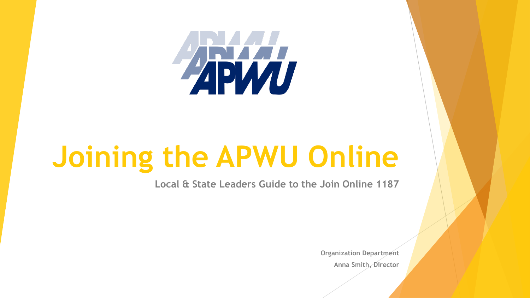

# **Joining the APWU Online**

**Local & State Leaders Guide to the Join Online 1187**

**Organization Department Anna Smith, Director**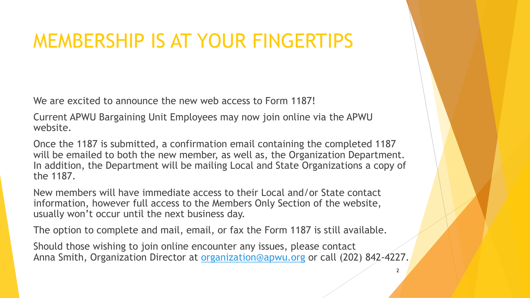## MEMBERSHIP IS AT YOUR FINGERTIPS

We are excited to announce the new web access to Form 1187!

Current APWU Bargaining Unit Employees may now join online via the APWU website.

Once the 1187 is submitted, a confirmation email containing the completed 1187 will be emailed to both the new member, as well as, the Organization Department. In addition, the Department will be mailing Local and State Organizations a copy of the 1187.

New members will have immediate access to their Local and/or State contact information, however full access to the Members Only Section of the website, usually won't occur until the next business day.

The option to complete and mail, email, or fax the Form 1187 is still available.

Should those wishing to join online encounter any issues, please contact Anna Smith, Organization Director at [organization@apwu.org](mailto:organization@apwu.org) or call (202) 842-4227.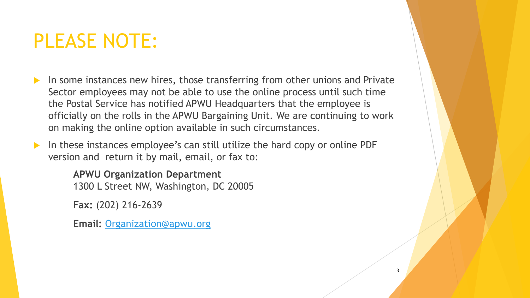## PLEASE NOTE:

- In some instances new hires, those transferring from other unions and Private Sector employees may not be able to use the online process until such time the Postal Service has notified APWU Headquarters that the employee is officially on the rolls in the APWU Bargaining Unit. We are continuing to work on making the online option available in such circumstances.
- In these instances employee's can still utilize the hard copy or online PDF version and return it by mail, email, or fax to:

**APWU Organization Department** 1300 L Street NW, Washington, DC 20005

**Fax:** (202) 216-2639

**Email:** [Organization@apwu.org](mailto:Organization@apwu.org)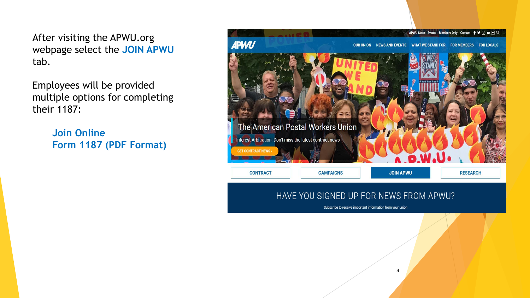After visiting the APWU.org webpage select the **JOIN APWU**  tab.

Employees will be provided multiple options for completing their 1187:

> **Join Online Form 1187 (PDF Format)**



Subscribe to receive important information from your union

 $\boldsymbol{\Lambda}$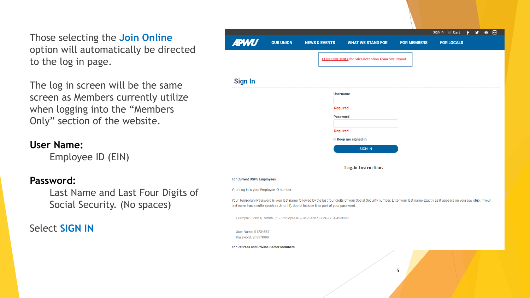Those selecting the **Join Online** option will automatically be directed to the log in page.

The log in screen will be the same screen as Members currently utilize when logging into the "Members Only" section of the website.

#### **User Name:**

Employee ID (EIN)

#### **Password:**

Last Name and Last Four Digits of Social Security. (No spaces)

Select **SIGN IN**

| <b>APWU</b><br><b>OUR UNION</b><br><b>NEWS &amp; EVENTS</b><br><b>CLICK HERE ONLY</b> for Sales Retention Team Site Payout<br><b>Sign In</b><br><b>Username</b><br>Required<br><b>Password</b><br>Required<br>Keep me signed in                                             | <b>WHAT WE STAND FOR</b> | <b>FOR MEMBERS</b> | <b>FOR LOCALS</b> |
|-----------------------------------------------------------------------------------------------------------------------------------------------------------------------------------------------------------------------------------------------------------------------------|--------------------------|--------------------|-------------------|
|                                                                                                                                                                                                                                                                             |                          |                    |                   |
|                                                                                                                                                                                                                                                                             |                          |                    |                   |
|                                                                                                                                                                                                                                                                             |                          |                    |                   |
|                                                                                                                                                                                                                                                                             |                          |                    |                   |
|                                                                                                                                                                                                                                                                             |                          |                    |                   |
|                                                                                                                                                                                                                                                                             |                          |                    |                   |
|                                                                                                                                                                                                                                                                             |                          |                    |                   |
|                                                                                                                                                                                                                                                                             |                          |                    |                   |
|                                                                                                                                                                                                                                                                             |                          |                    |                   |
|                                                                                                                                                                                                                                                                             | <b>SIGN IN</b>           |                    |                   |
|                                                                                                                                                                                                                                                                             |                          |                    |                   |
| <b>Log-in Instructions</b>                                                                                                                                                                                                                                                  |                          |                    |                   |
| <b>For Current USPS Employees</b>                                                                                                                                                                                                                                           |                          |                    |                   |
| Your Log-in is your Employee ID number.                                                                                                                                                                                                                                     |                          |                    |                   |
| Your Temporary Password is your last name followed by the last four digits of your Social Security number. Enter your last name exactly as it appears on your pay stub. If your<br>last name has a suffix (such as Jr. or III), do not include it as part of your password. |                          |                    |                   |
| Example: "John Q. Smith Jr." - Employee ID = 01234567, SSN=1234-45-9999                                                                                                                                                                                                     |                          |                    |                   |
| User Name: 01234567                                                                                                                                                                                                                                                         |                          |                    |                   |
| Password: Smith9999                                                                                                                                                                                                                                                         |                          |                    |                   |
| <b>For Retirees and Private-Sector Members</b>                                                                                                                                                                                                                              |                          |                    |                   |
|                                                                                                                                                                                                                                                                             |                          |                    |                   |
|                                                                                                                                                                                                                                                                             | 5                        |                    |                   |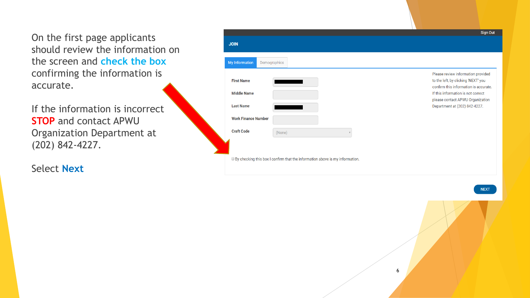On the first page applicants should review the information on the screen and **check the box**  confirming the information is accurate.

If the information is incorrect **STOP** and contact APWU Organization Department at (202) 842-4227.

Select **Next**

|                                                             |                                                                              | Sign Out                                                                                                                                                                                                                      |
|-------------------------------------------------------------|------------------------------------------------------------------------------|-------------------------------------------------------------------------------------------------------------------------------------------------------------------------------------------------------------------------------|
| <b>JOIN</b>                                                 |                                                                              |                                                                                                                                                                                                                               |
| <b>My Information</b>                                       | Demographics                                                                 |                                                                                                                                                                                                                               |
| <b>First Name</b><br><b>Middle Name</b><br><b>Last Name</b> |                                                                              | Please review information provided<br>to the left, by clicking 'NEXT' you<br>confirm this information is accurate.<br>If this information is not correct<br>please contact APWU Organization<br>Department at (202) 842-4227. |
| <b>Work Finance Number</b>                                  |                                                                              |                                                                                                                                                                                                                               |
| <b>Craft Code</b>                                           | (None)                                                                       |                                                                                                                                                                                                                               |
|                                                             | By checking this box I confirm that the information above is my information. |                                                                                                                                                                                                                               |

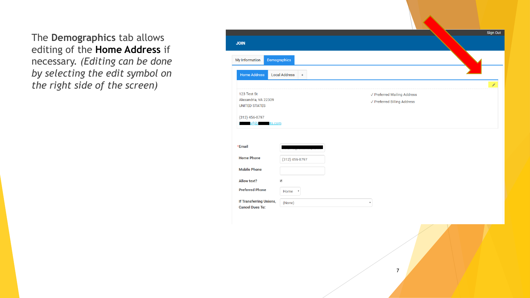The **Demographics** tab allows editing of the **Home Address** if necessary. *(Editing can be done by selecting the edit symbol on the right side of the screen)* 

|                                                                                 |                               |                           |                                                                               |  | Sign Out |
|---------------------------------------------------------------------------------|-------------------------------|---------------------------|-------------------------------------------------------------------------------|--|----------|
| <b>JOIN</b>                                                                     |                               |                           |                                                                               |  |          |
| My Information                                                                  | Demographics                  |                           |                                                                               |  |          |
| <b>Home Address</b>                                                             | <b>Local Address</b><br>$\pm$ |                           |                                                                               |  |          |
| 123 Test St<br>Alexandria, VA 22309<br><b>UNITED STATES</b><br>$(312)$ 456-8797 |                               |                           | $\checkmark$ Preferred Mailing Address<br>$\sqrt{}$ Preferred Billing Address |  | í        |
| <u>s@ibo</u><br><u>its.com</u>                                                  |                               |                           |                                                                               |  |          |
| *Email                                                                          |                               |                           |                                                                               |  |          |
| <b>Home Phone</b>                                                               | $(312)$ 456-8797              |                           |                                                                               |  |          |
| <b>Mobile Phone</b>                                                             |                               |                           |                                                                               |  |          |
| <b>Allow text?</b>                                                              | $\blacktriangledown$          |                           |                                                                               |  |          |
| <b>Preferred Phone</b>                                                          | Home <b>v</b>                 |                           |                                                                               |  |          |
| If Transferring Unions,<br><b>Cancel Dues To:</b>                               | (None)                        | $\boldsymbol{\mathrm{v}}$ |                                                                               |  |          |
|                                                                                 |                               |                           |                                                                               |  |          |

7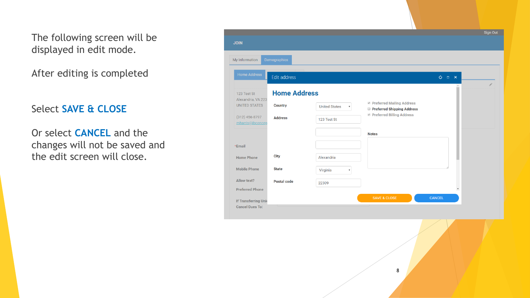The following screen will be displayed in edit mode.

After editing is completed

#### Select **SAVE & CLOSE**

Or select **CANCEL** and the changes will not be saved and the edit screen will close.

|                                                       |                     |                                                   |                                                           |                                           | <b>Sign Out</b> |
|-------------------------------------------------------|---------------------|---------------------------------------------------|-----------------------------------------------------------|-------------------------------------------|-----------------|
| <b>JOIN</b>                                           |                     |                                                   |                                                           |                                           |                 |
| My Information                                        | Demographics        |                                                   |                                                           |                                           |                 |
| <b>Home Address</b>                                   | Edit address        |                                                   |                                                           | $O = X$                                   |                 |
| 123 Test St<br>Alexandria, VA 223                     | <b>Home Address</b> |                                                   |                                                           |                                           |                 |
| <b>UNITED STATES</b>                                  | <b>Country</b>      | <b>United States</b><br>$\boldsymbol{\mathrm{v}}$ | ■ Preferred Mailing Address<br>Preferred Shipping Address |                                           |                 |
| $(312)$ 456-8797<br>mharris@ibconcep                  | <b>Address</b>      | 123 Test St                                       | Preferred Billing Address                                 |                                           |                 |
|                                                       |                     |                                                   | <b>Notes</b>                                              |                                           |                 |
| *Email                                                |                     |                                                   |                                                           |                                           |                 |
| <b>Home Phone</b>                                     | <b>City</b>         | Alexandria                                        |                                                           |                                           |                 |
| <b>Mobile Phone</b>                                   | <b>State</b>        | Virginia<br>v                                     |                                                           |                                           |                 |
| Allow text?                                           | Postal code         | 22309                                             |                                                           |                                           |                 |
| <b>Preferred Phone</b>                                |                     |                                                   | <b>SAVE &amp; CLOSE</b>                                   | $\overline{\phantom{a}}$<br><b>CANCEL</b> |                 |
| <b>If Transferring Unid</b><br><b>Cancel Dues To:</b> |                     |                                                   |                                                           |                                           |                 |

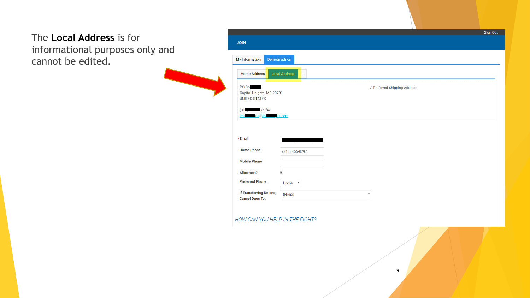### The **Local Address** is for informational purposes only and cannot be edited.

| <b>JOIN</b>                                                 |                             |                                         |  |
|-------------------------------------------------------------|-----------------------------|-----------------------------------------|--|
| My Information                                              | Demographics                |                                         |  |
| <b>Home Address</b>                                         | <b>Local Address</b><br>$+$ |                                         |  |
| PO Bol<br>Capitol Heights, MD 20791<br><b>UNITED STATES</b> |                             | $\checkmark$ Preferred Shipping Address |  |
| $(30)$ 75 fax<br>os@ibo<br>kha                              | ts.com                      |                                         |  |
|                                                             |                             |                                         |  |
| *Email                                                      |                             |                                         |  |
| <b>Home Phone</b>                                           | $(312)$ 456-8797            |                                         |  |
| <b>Mobile Phone</b>                                         |                             |                                         |  |
| <b>Allow text?</b>                                          | $\blacktriangledown$        |                                         |  |
| <b>Preferred Phone</b>                                      | Home <b>v</b>               |                                         |  |
| If Transferring Unions,<br><b>Cancel Dues To:</b>           | (None)                      | $\boldsymbol{\mathrm{v}}$               |  |
|                                                             |                             |                                         |  |
| HOW CAN YOU HELP IN THE FIGHT?                              |                             |                                         |  |
|                                                             |                             |                                         |  |
|                                                             |                             |                                         |  |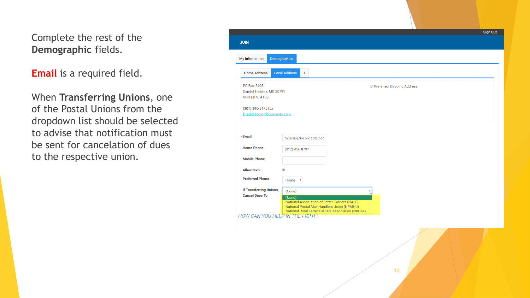### Complete the rest of the **Demographic** fields.

**Email** is a required field.

When **Transferring Unions**, one of the Postal Unions from the dropdown list should be selected to advise that notification must be sent for cancelation of dues to the respective union.

| <b>JOIN</b>                                                      |                                                                                                   |   |                              | Sign Out |
|------------------------------------------------------------------|---------------------------------------------------------------------------------------------------|---|------------------------------|----------|
| My Information<br>Demographics                                   |                                                                                                   |   |                              |          |
| <b>Home Address</b>                                              | <b>Local Address</b><br>$+$                                                                       |   |                              |          |
| PO Box 5405<br>Capitol Heights, MD 20791<br><b>UNITED STATES</b> |                                                                                                   |   | √ Preferred Shipping Address |          |
| (301) 390-5175 fax<br>khadidiacos@ibconcepts.com                 |                                                                                                   |   |                              |          |
| *Email                                                           | mharris@ibconcepts.cor                                                                            |   |                              |          |
| <b>Home Phone</b>                                                | $(312)$ 456-8797                                                                                  |   |                              |          |
| <b>Mobile Phone</b>                                              |                                                                                                   |   |                              |          |
| <b>Allow text?</b>                                               | $\blacktriangledown$                                                                              |   |                              |          |
| <b>Preferred Phone</b>                                           | Home <b>v</b>                                                                                     |   |                              |          |
| <b>If Transferring Unions,</b><br><b>Cancel Dues To:</b>         | (None)<br>(None)<br>National Association of Letter Carriers (NALC)                                | N |                              |          |
|                                                                  | National Postal Mail Handlers Union (NPMHU)<br>National Rural Letter Carriers Association (NRLCA) |   |                              |          |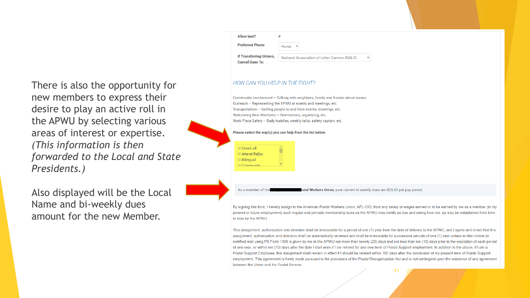There is also the opportunity for new members to express their desire to play an active roll in the APWU by selecting various areas of interest or expertise. *(This information is then forwarded to the Local and State Presidents.)*

Also displayed will be the Local Name and bi -weekly dues amount for the new Member.

| <b>Allow text?</b>                                |                                                |  |
|---------------------------------------------------|------------------------------------------------|--|
| <b>Preferred Phone</b>                            | Home                                           |  |
| If Transferring Unions,<br><b>Cancel Dues To:</b> | National Association of Letter Carriers (NALC) |  |
|                                                   |                                                |  |

#### HOW CAN YOU HELP IN THE FIGHT?

Community Involvement - Talking with neighbors, family and friends about issues Outreach - Representing the APWU at events and meetings, etc. Transportation - Getting people to and from events, meetings, etc. Welcoming New Members - Orientations, organizing, etc. Work Place Safety - Daily huddles, weekly talks, safety captain, etc.

#### Please select the way(s) you can help from the list below:



As a member of th stal Workers Union, your current bi-weekly dues are \$25.02 per pay period.

By signing this form, I hereby assign to the American Postal Workers Union, AFL-CIO, from any salary or wages earned or to be earned by me as a member (in my present or future employment) such regular and periodic membership dues as the APWU may certify as due and owing from me, as may be established from time to time by the APWU.

This assignment, authorization and direction shall be irrevocable for a period of one (1) year from the date of delivery to the APWU, and I agree and direct that this assignment, authorization and direction shall be automatically renewed and shall be irrevocable for successive periods of one (1) year unless written notice by certified mail using PS Form 1186 is given by me to the APWU not more than twenty (20) days and not less than ten (10) days prior to the expiration of each period of one year, or within ten (10) days after the date I start work if I am rehired for any new term of Postal Support employment. In addition to the above, if I am a Postal Support Employee, this assignment shall remain in effect if I should be rehired within 180 days after the conclusion of my present term of Postal Support employment. This agreement is freely made pursuant to the provisions of the Postal Reorganization Act and is not contingent upon the existence of any agreement between the Union and the Postal Service

11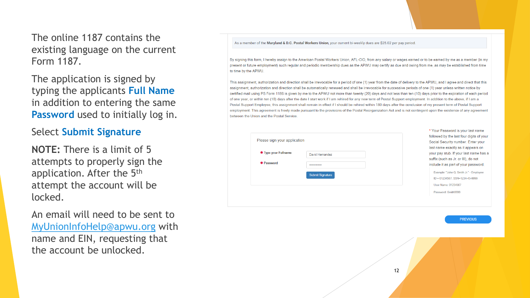The online 1187 contains the existing language on the current Form 1187.

The application is signed by typing the applicants **Full Name**  in addition to entering the same **Password** used to initially log in.

#### Select **Submit Signature**

**NOTE:** There is a limit of 5 attempts to properly sign the application. After the 5th attempt the account will be locked.

An email will need to be sent to [MyUnionInfoHelp@apwu.org](mailto:MyUnionInfoHelp@apwu.org) with name and EIN, requesting that the account be unlocked.

#### As a member of the Maryland & D.C. Postal Workers Union, your current bi-weekly dues are \$25.02 per pay period.

By signing this form, I hereby assign to the American Postal Workers Union, AFL-CIO, from any salary or wages earned or to be earned by me as a member (in my present or future employment) such regular and periodic membership dues as the APWU may certify as due and owing from me, as may be established from time to time by the APWU

This assignment, authorization and direction shall be irrevocable for a period of one (1) year from the date of delivery to the APWU, and I agree and direct that this assignment, authorization and direction shall be automatically renewed and shall be irrevocable for successive periods of one (1) year unless written notice by certified mail using PS Form 1186 is given by me to the APWU not more than twenty (20) days and not less than ten (10) days prior to the expiration of each period of one year, or within ten (10) days after the date I start work if I am rehired for any new term of Postal Support employment. In addition to the above, if I am a Postal Support Employee, this assignment shall remain in effect if I should be rehired within 180 days after the conclusion of my present term of Postal Support employment. This agreement is freely made pursuant to the provisions of the Postal Reorganization Act and is not contingent upon the existence of any agreement between the Union and the Postal Service

| <b>₩ Type your Fullname</b> | David Hernandez         |  |
|-----------------------------|-------------------------|--|
| * Password                  |                         |  |
|                             | <b>Submit Signature</b> |  |

\* Your Password is your last name followed by the last four digits of your Social Security number. Enter your last name exactly as it appears on your pay stub. If your last name has a suffix (such as Jr. or III), do not include it as part of your password.

Example: "John Q. Smith Jr." - Employee ID = 01234567, SSN=1234-45-9999 User Name: 01234567 Password: Smith9999

**PREVIOUS**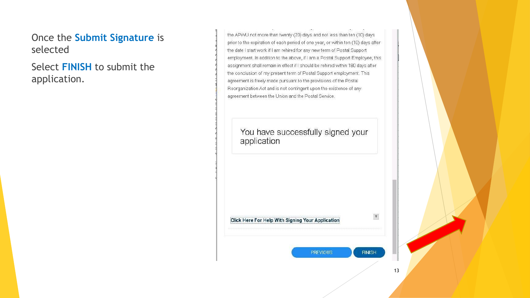### Once the **Submit Signature** is selected

Select **FINISH** to submit the application.

the APVVU not more than twenty (20) days and not less than ten (10) days prior to the expiration of each period of one year, or within ten (10) days after the date I start work if I am rehired for any new term of Postal Support employment. In addition to the above, if I am a Postal Support Employee, this assignment shall remain in effect if I should be rehired within 180 days after the conclusion of my present term of Postal Support employment. This agreement is freely made pursuant to the provisions of the Postal Reorganization Act and is not contingent upon the existence of any agreement between the Union and the Postal Service.

You have successfully signed your application

Click Here For Help With Signing Your Application

**PREVIOUS** 

13

 $\boldsymbol{\mathrm{v}}$ 

**FINISH**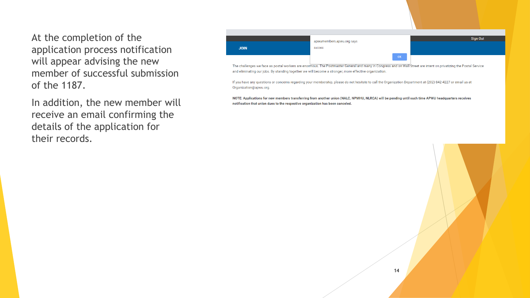At the completion of the application process notification will appear advising the new member of successful submission of the 1187.

In addition, the new member will receive an email confirming the details of the application for their records.



The challenges we face as postal workers are enormous. The Postmaster General and many in Congress and on Wall Street are intent on privatizing the Postal Service and eliminating our jobs. By standing together we will become a stronger, more effective organization.

If you have any questions or concerns regarding your membership, please do not hesitate to call the Organization Department at (202) 842-4227 or email us at Organization@apwu.org.

NOTE: Applications for new members transferring from another union (NALC, NPMHU, NLRCA) will be pending until such time APWU headquarters receives notification that union dues to the respective organization has been canceled.